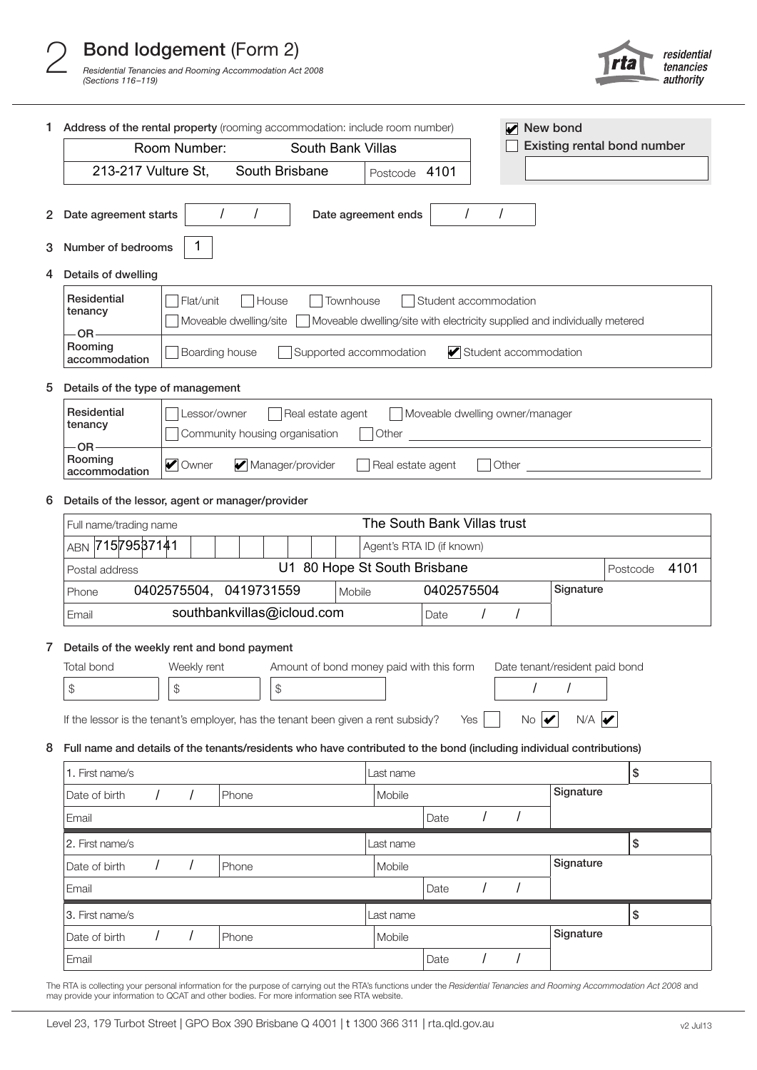

| 1.                                           | Address of the rental property (rooming accommodation: include room number)<br>New bond<br>$\blacktriangleright$                                                                          |                                                                                                                                                                      |               |                            |        |                                    |            |          |                                |           |      |  |
|----------------------------------------------|-------------------------------------------------------------------------------------------------------------------------------------------------------------------------------------------|----------------------------------------------------------------------------------------------------------------------------------------------------------------------|---------------|----------------------------|--------|------------------------------------|------------|----------|--------------------------------|-----------|------|--|
|                                              | Room Number:<br>South Bank Villas                                                                                                                                                         |                                                                                                                                                                      |               |                            |        | <b>Existing rental bond number</b> |            |          |                                |           |      |  |
|                                              | 213-217 Vulture St,<br>South Brisbane<br>Postcode 4101                                                                                                                                    |                                                                                                                                                                      |               |                            |        |                                    |            |          |                                |           |      |  |
| 2                                            | Date agreement starts                                                                                                                                                                     |                                                                                                                                                                      | Ι<br>$\prime$ |                            |        | Date agreement ends                | $\prime$   | $\prime$ |                                |           |      |  |
| 3                                            | Number of bedrooms                                                                                                                                                                        | 1                                                                                                                                                                    |               |                            |        |                                    |            |          |                                |           |      |  |
| 4                                            | Details of dwelling                                                                                                                                                                       |                                                                                                                                                                      |               |                            |        |                                    |            |          |                                |           |      |  |
|                                              | Residential<br>Townhouse<br>Flat/unit<br>House<br>Student accommodation<br>tenancy<br>Moveable dwelling/site<br>Moveable dwelling/site with electricity supplied and individually metered |                                                                                                                                                                      |               |                            |        |                                    |            |          |                                |           |      |  |
|                                              | OR-<br>Rooming<br>accommodation                                                                                                                                                           | Boarding house<br>Supported accommodation<br>Student accommodation                                                                                                   |               |                            |        |                                    |            |          |                                |           |      |  |
| 5                                            |                                                                                                                                                                                           | Details of the type of management                                                                                                                                    |               |                            |        |                                    |            |          |                                |           |      |  |
|                                              | Residential<br>tenancy                                                                                                                                                                    | Lessor/owner<br>Real estate agent<br>Moveable dwelling owner/manager<br>Community housing organisation<br>Other<br><u> 1980 - Johann Barbara, martxa alemaniar a</u> |               |                            |        |                                    |            |          |                                |           |      |  |
|                                              | <b>OR</b><br>Rooming<br>accommodation                                                                                                                                                     | Owner                                                                                                                                                                |               | Manager/provider           |        | Real estate agent                  |            | Other    |                                |           |      |  |
| 6                                            | Details of the lessor, agent or manager/provider                                                                                                                                          |                                                                                                                                                                      |               |                            |        |                                    |            |          |                                |           |      |  |
|                                              | The South Bank Villas trust<br>Full name/trading name                                                                                                                                     |                                                                                                                                                                      |               |                            |        |                                    |            |          |                                |           |      |  |
| ABN 71579537141<br>Agent's RTA ID (if known) |                                                                                                                                                                                           |                                                                                                                                                                      |               |                            |        |                                    |            |          |                                |           |      |  |
|                                              | U1 80 Hope St South Brisbane<br>Postcode<br>Postal address                                                                                                                                |                                                                                                                                                                      |               |                            |        |                                    |            |          |                                | 4101      |      |  |
|                                              | Phone                                                                                                                                                                                     | 0402575504,                                                                                                                                                          | 0419731559    |                            | Mobile |                                    | 0402575504 |          |                                | Signature |      |  |
|                                              | Email                                                                                                                                                                                     |                                                                                                                                                                      |               | southbankvillas@icloud.com |        |                                    | Date       |          |                                |           |      |  |
| 7                                            | Details of the weekly rent and bond payment<br>Total bond<br>Weekly rent<br>Amount of bond money paid with this form<br>Date tenant/resident paid bond                                    |                                                                                                                                                                      |               |                            |        |                                    |            |          |                                |           |      |  |
|                                              | \$<br>$\frac{1}{2}$<br>\$<br>$$\mathbb{S}$$                                                                                                                                               |                                                                                                                                                                      |               |                            |        |                                    |            |          |                                |           |      |  |
|                                              | If the lessor is the tenant's employer, has the tenant been given a rent subsidy?                                                                                                         |                                                                                                                                                                      |               |                            |        |                                    | Yes        |          | $No \nvert \blacktriangledown$ | N/A       |      |  |
| 8                                            | Full name and details of the tenants/residents who have contributed to the bond (including individual contributions)                                                                      |                                                                                                                                                                      |               |                            |        |                                    |            |          |                                |           |      |  |
|                                              | 1. First name/s                                                                                                                                                                           |                                                                                                                                                                      |               |                            |        | Last name                          |            |          |                                |           | \$   |  |
|                                              | Date of birth                                                                                                                                                                             | $\prime$<br>$\prime$                                                                                                                                                 | Phone         |                            |        | Mobile                             |            |          |                                | Signature |      |  |
|                                              | Email                                                                                                                                                                                     |                                                                                                                                                                      |               |                            |        |                                    | Date       |          | $\prime$                       |           |      |  |
|                                              | 2. First name/s                                                                                                                                                                           |                                                                                                                                                                      |               |                            |        | Last name                          |            |          |                                |           | $\$$ |  |
|                                              | Date of birth<br>$\prime$                                                                                                                                                                 | 1                                                                                                                                                                    | Phone         |                            |        | Mobile                             |            |          |                                | Signature |      |  |
|                                              | Email                                                                                                                                                                                     |                                                                                                                                                                      |               |                            |        |                                    | Date       | $\prime$ | $\prime$                       |           |      |  |
|                                              | 3. First name/s                                                                                                                                                                           | Last name                                                                                                                                                            |               |                            |        |                                    |            |          |                                |           | \$   |  |
|                                              | Date of birth                                                                                                                                                                             | $\prime$<br>$\prime$<br>Phone                                                                                                                                        |               |                            |        |                                    |            |          |                                | Signature |      |  |
|                                              | Email                                                                                                                                                                                     |                                                                                                                                                                      |               |                            |        |                                    | Date       | $\prime$ | $\prime$                       |           |      |  |

The RTA is collecting your personal information for the purpose of carrying out the RTA's functions under the *Residential Tenancies and Rooming Accommodation Act 2008* and may provide your information to QCAT and other bodies. For more information see RTA website.